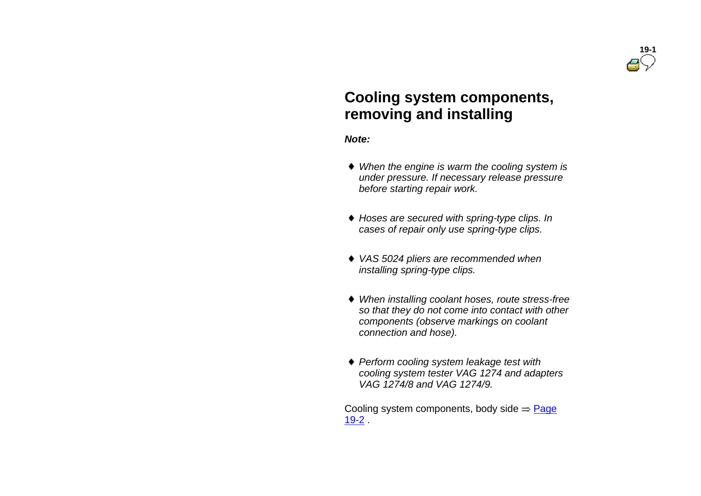# **Cooling system components, removing and installing**

### *Note:*

- *When the engine is warm the cooling system is under pressure. If necessary release pressure before starting repair work.*
- *Hoses are secured with spring-type clips. In cases of repair only use spring-type clips.*
- *VAS <sup>5024</sup> pliers are recommended when installing spring-type clips.*
- *When installing coolant hoses, route stress-free so that they do not come into contact with other components (observe markings on coolant connection and hose).*
- *Perform cooling system leakage test with cooling system tester VAG 1274 and adapters VAG 1274/8 and VAG 1274/9.*

Cooling system components, body side  $\Rightarrow$  Page 19-2 .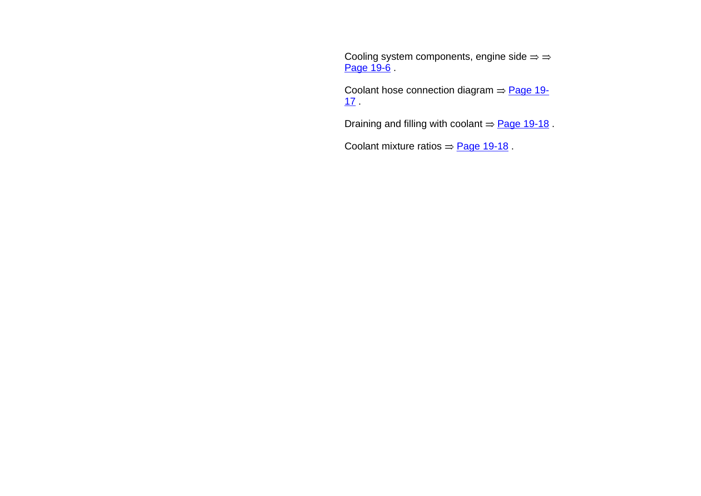Cooling system components, engine side  $\Rightarrow$   $\Rightarrow$ Page 19-6

Coolant hose connection diagram  $\Rightarrow$  Page 19- $17$ 

Draining and filling with coolant  $\Rightarrow$  Page 19-18.

Coolant mixture ratios  $=$  Page 19-18.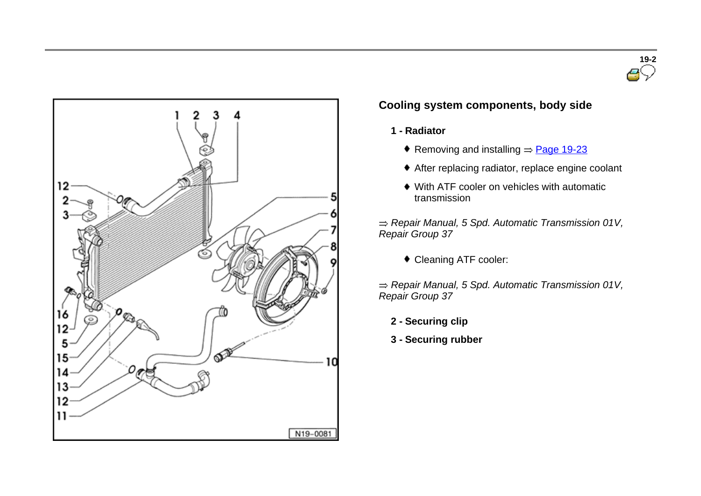



# **Cooling system components, body side**

## **1 - Radiator**

- Removing and installing  $\Rightarrow$  Page 19-23
- After replacing radiator, replace engine coolant
- With ATF cooler on vehicles with automatic transmission

*Repair Manual, 5 Spd. Automatic Transmission 01V, Repair Group 37*

Cleaning ATF cooler:

*Repair Manual, 5 Spd. Automatic Transmission 01V, Repair Group 37*

- **2 - Securing clip**
- **3 - Securing rubber**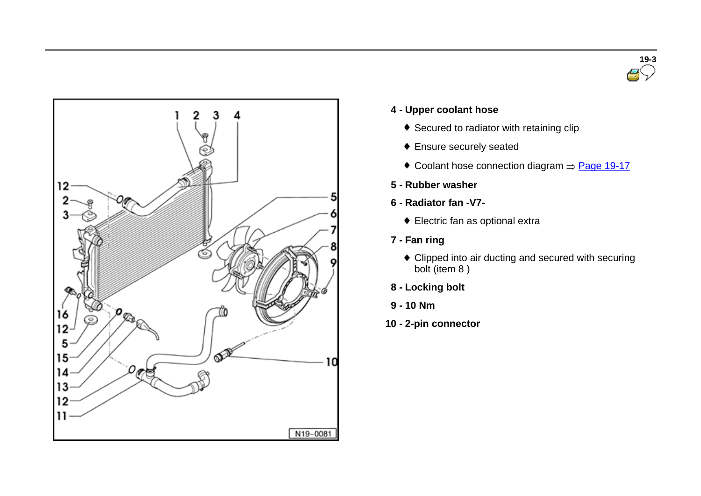



## **4 - Upper coolant hose**

- ◆ Secured to radiator with retaining clip
- Ensure securely seated
- $\bullet$  Coolant hose connection diagram  $\Rightarrow$  Page 19-17
- **5 - Rubber washer**
- **6 - Radiator fan -V7-**
	- Electric fan as optional extra
- **7 - Fan ring**
	- Clipped into air ducting and secured with securing bolt (item 8 )
- **8 - Locking bolt**
- **9 - 10 Nm**
- **10 - 2-pin connector**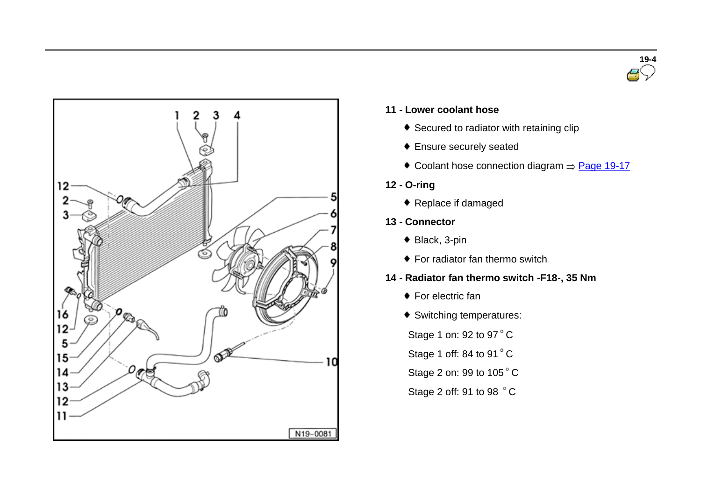



## **11 - Lower coolant hose**

- ◆ Secured to radiator with retaining clip
- Ensure securely seated
- $\bullet$  Coolant hose connection diagram  $=$  Page 19-17
- **12 - O-ring**
	- ◆ Replace if damaged
- **13 - Connector**
	- ◆ Black, 3-pin
	- ◆ For radiator fan thermo switch
- **14 - Radiator fan thermo switch -F18-, 35 Nm**
	- ◆ For electric fan
	- Switching temperatures:

Stage 1 on: 92 to 97 $\degree$  C

- Stage 1 off: 84 to 91 $\degree$  C
- Stage 2 on: 99 to 105°C
- Stage 2 off: 91 to 98 $\degree$  C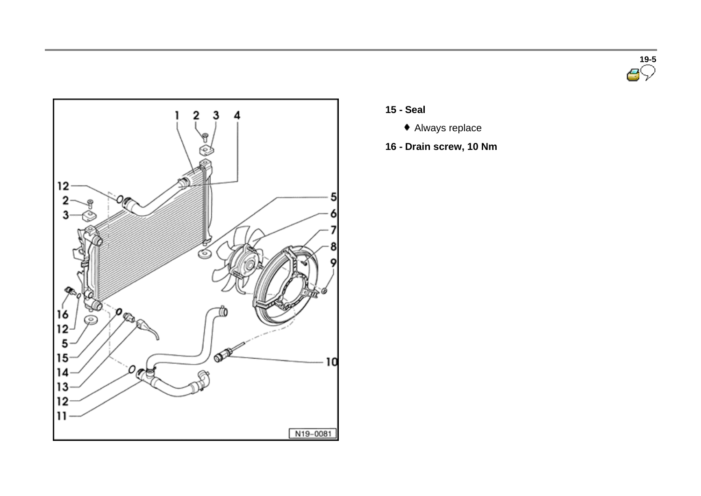



- **15 - Seal**
	- Always replace
- **16 - Drain screw, 10 Nm**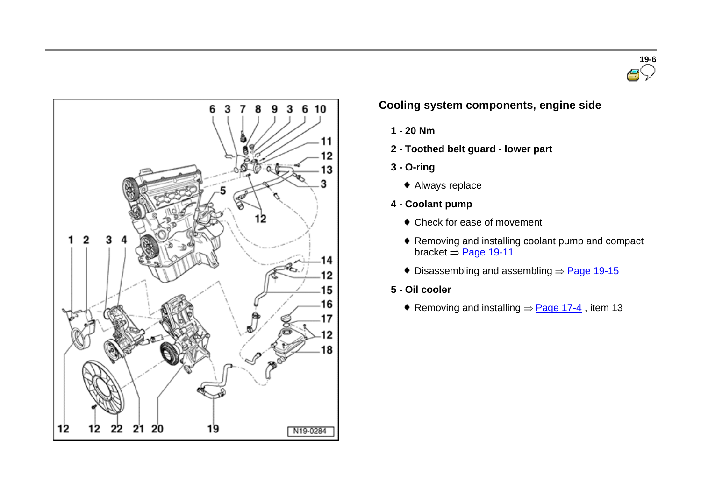



# **Cooling system components, engine side**

- **1 - 20 Nm**
- **2 - Toothed belt guard - lower part**
- **3 - O-ring**
	- Always replace
- **4 - Coolant pump**
	- Check for ease of movement
	- Removing and installing coolant pump and compact bracket  $=$  Page 19-11
	- $\bullet$  Disassembling and assembling  $\Rightarrow$  Page 19-15
- **5 - Oil cooler**
	- Removing and installing  $\Rightarrow$  Page 17-4, item 13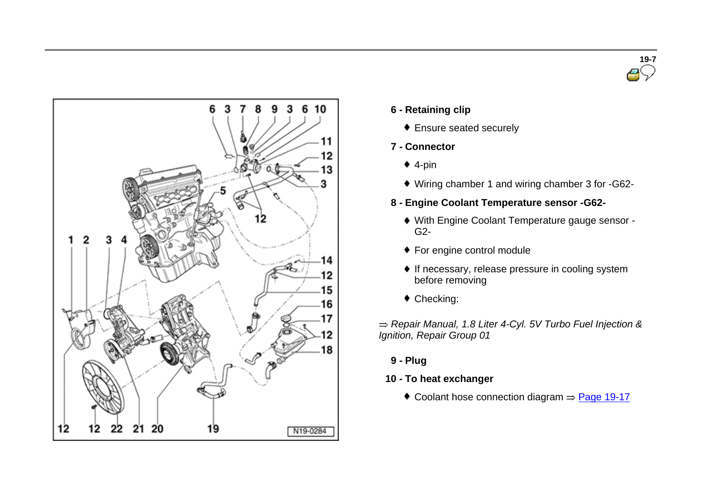



- **6 - Retaining clip**
	- Ensure seated securely
- **7 - Connector**
	- $4$ -pin
	- Wiring chamber 1 and wiring chamber 3 for -G62-
- **8 - Engine Coolant Temperature sensor -G62-**
	- With Engine Coolant Temperature gauge sensor G2-
	- For engine control module
	- $\bullet$  If necessary, release pressure in cooling system before removing
	- Checking:

*Repair Manual, 1.8 Liter 4-Cyl. 5V Turbo Fuel Injection & Ignition, Repair Group 01*

**9 - Plug**

## **10 - To heat exchanger**

 $\bullet$  Coolant hose connection diagram  $=$  Page 19-17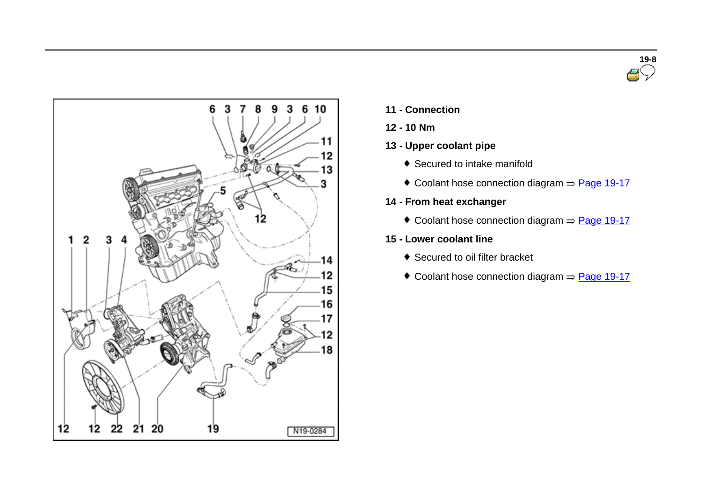



- **11 - Connection**
- **12 - 10 Nm**
- **13 - Upper coolant pipe**
	- ◆ Secured to intake manifold
	- $\bullet$  Coolant hose connection diagram  $\Rightarrow$  Page 19-17
- **14 - From heat exchanger**
	- $\bullet$  Coolant hose connection diagram  $\Rightarrow$  Page 19-17
- **15 - Lower coolant line**
	- ◆ Secured to oil filter bracket
	- $\bullet$  Coolant hose connection diagram  $\Rightarrow$  Page 19-17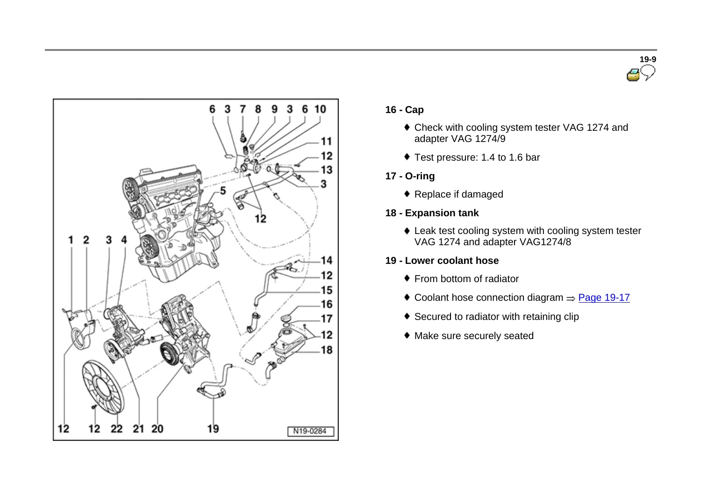



## **16 - Cap**

- Check with cooling system tester VAG 1274 and adapter VAG 1274/9
- Test pressure: 1.4 to 1.6 bar
- **17 - O-ring**
	- ◆ Replace if damaged
- **18 - Expansion tank**
	- Leak test cooling system with cooling system tester VAG 1274 and adapter VAG1274/8
- **19 - Lower coolant hose**
	- ◆ From bottom of radiator
	- $\bullet$  Coolant hose connection diagram  $\Rightarrow$  Page 19-17
	- ◆ Secured to radiator with retaining clip
	- Make sure securely seated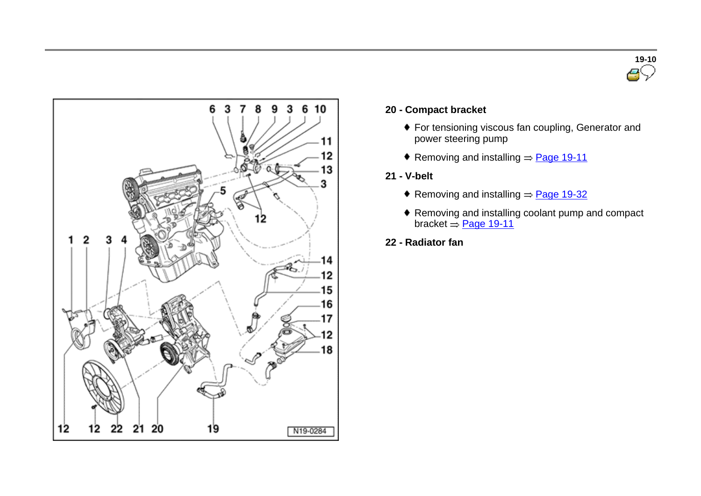



## **20 - Compact bracket**

- For tensioning viscous fan coupling, Generator and power steering pump
- Removing and installing  $\Rightarrow$  Page 19-11
- **21 - V-belt**
	- Removing and installing  $\Rightarrow$  Page 19-32
	- Removing and installing coolant pump and compact bracket  $\Rightarrow$  Page 19-11
- **22 - Radiator fan**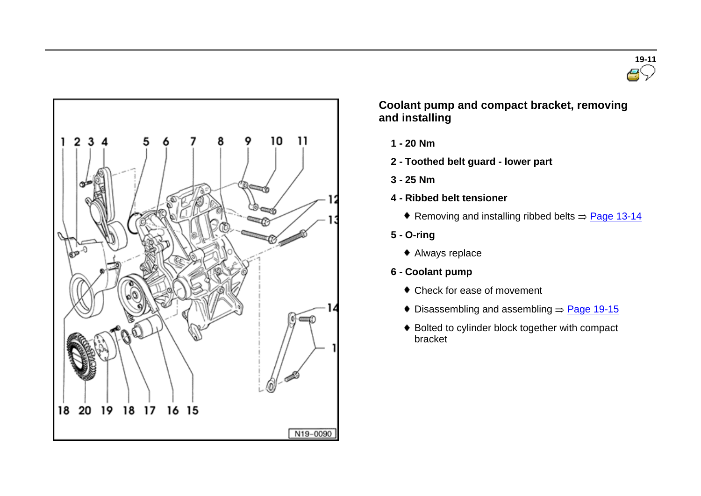



 **Coolant pump and compact bracket, removing and installing**

- **1 - 20 Nm**
- **2 - Toothed belt guard - lower part**
- **3 - 25 Nm**
- **4 - Ribbed belt tensioner**
	- Removing and installing ribbed belts  $\Rightarrow$  Page 13-14
- **5 - O-ring**
	- Always replace
- **6 - Coolant pump**
	- Check for ease of movement
	- $\blacklozenge$  Disassembling and assembling  $\Rightarrow$  Page 19-15
	- ◆ Bolted to cylinder block together with compact bracket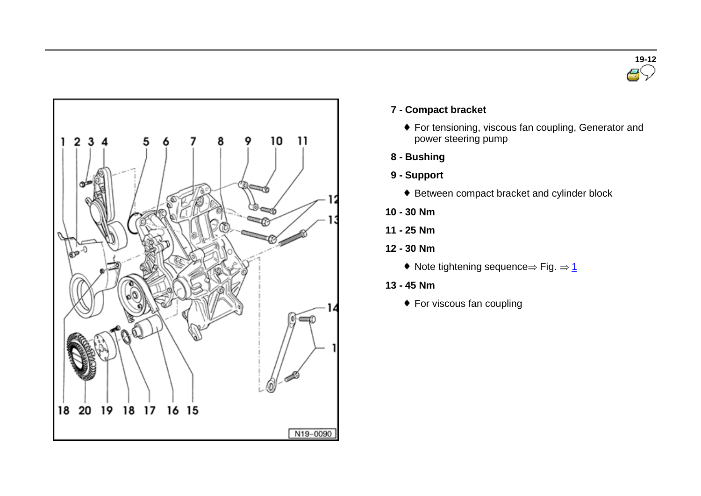



## **7 - Compact bracket**

- For tensioning, viscous fan coupling, Generator and power steering pump
- **8 - Bushing**
- **9 - Support**
	- ◆ Between compact bracket and cylinder block
- **10 - 30 Nm**
- **11 - 25 Nm**
- **12 - 30 Nm**
	- $\bullet$  Note tightening sequence  $\Rightarrow$  Fig.  $\Rightarrow$  1
- **13 - 45 Nm**
	- ◆ For viscous fan coupling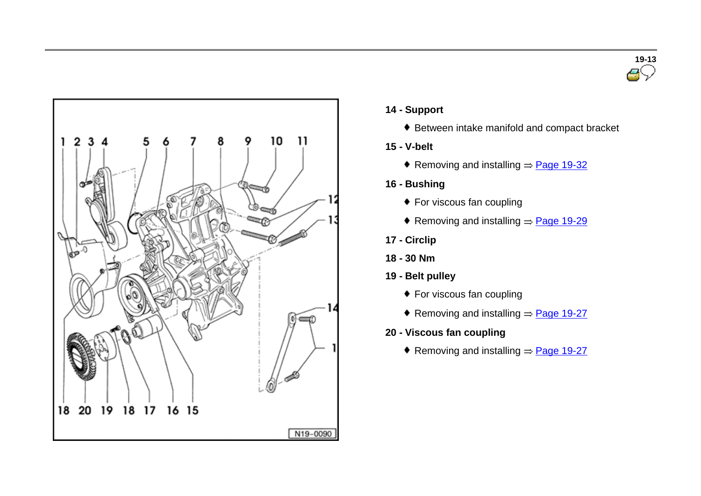



## **14 - Support**

- Between intake manifold and compact bracket
- **15 - V-belt**
	- Removing and installing  $\Rightarrow$  Page 19-32
- **16 - Bushing**
	- For viscous fan coupling
	- Removing and installing  $\Rightarrow$  Page 19-29
- **17 - Circlip**
- **18 - 30 Nm**
- **19 - Belt pulley**
	- For viscous fan coupling
	- Removing and installing  $\Rightarrow$  Page 19-27
- **20 - Viscous fan coupling**
	- Removing and installing  $\Rightarrow$  Page 19-27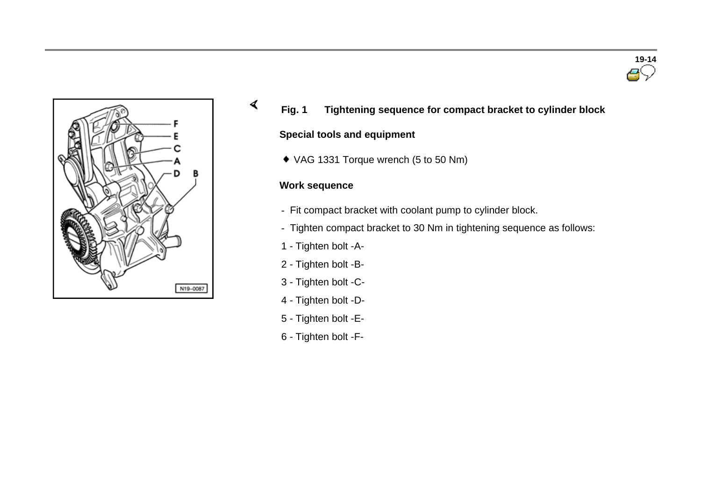



 $\blacktriangleleft$ **Fig. 1 Tightening sequence for compact bracket to cylinder block**

## **Special tools and equipment**

VAG 1331 Torque wrench (5 to 50 Nm)

## **Work sequence**

- Fit compact bracket with coolant pump to cylinder block.
- Tighten compact bracket to 30 Nm in tightening sequence as follows:
- 1 Tighten bolt -A-
- 2 Tighten bolt -B-
- 3 Tighten bolt -C-
- 4 Tighten bolt -D-
- 5 Tighten bolt -E-
- 6 Tighten bolt -F-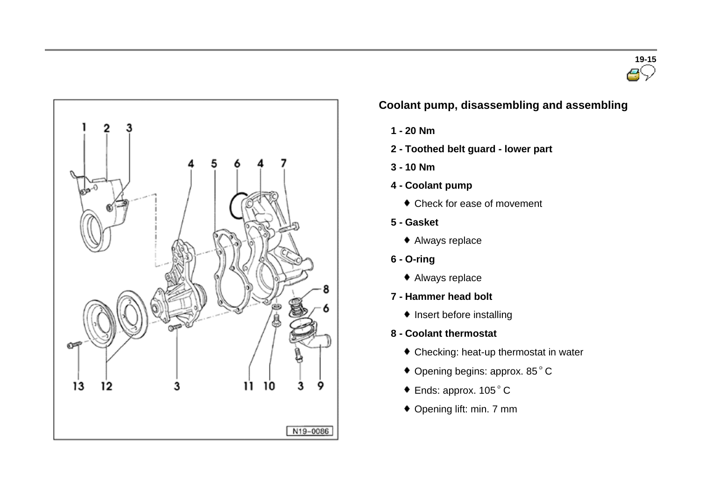



# **Coolant pump, disassembling and assembling**

- **1 - 20 Nm**
- **2 - Toothed belt guard - lower part**
- **3 - 10 Nm**
- **4 - Coolant pump**
	- Check for ease of movement
- **5 - Gasket**
	- Always replace
- **6 - O-ring**
	- Always replace
- **7 - Hammer head bolt**
	- $\bullet$  Insert before installing
- **8 - Coolant thermostat**
	- Checking: heat-up thermostat in water
	- ◆ Opening begins: approx. 85°C
	- ◆ Ends: approx. 105°C
	- Opening lift: min. 7 mm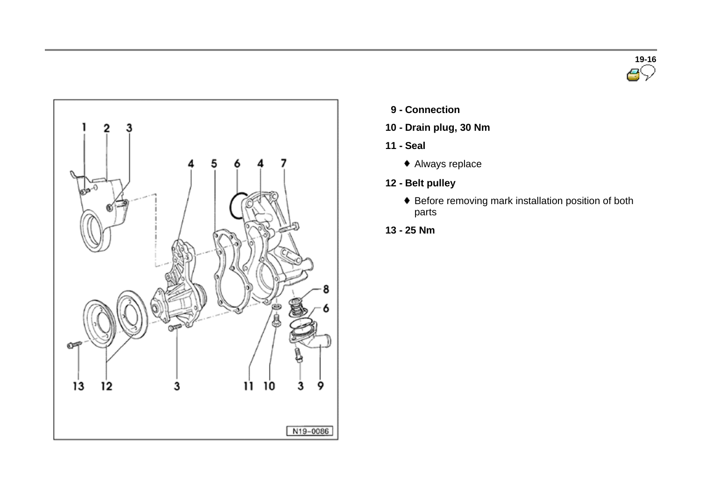



- **9 - Connection**
- **10 - Drain plug, 30 Nm**
- **11 - Seal**
	- Always replace
- **12 - Belt pulley**
	- Before removing mark installation position of both parts
- **13 - 25 Nm**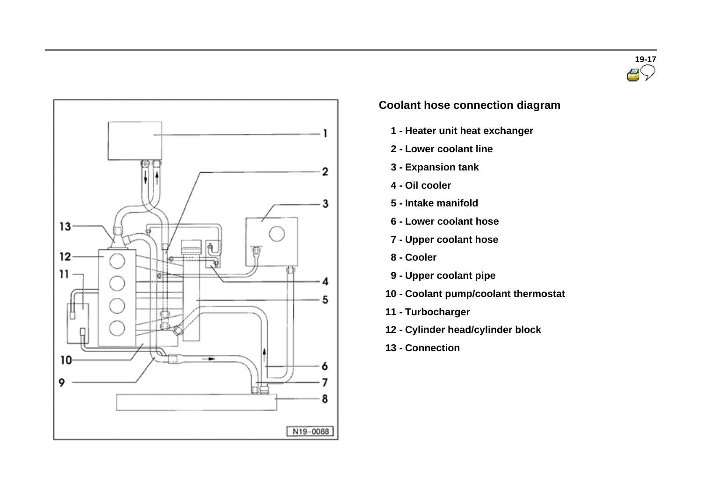



# **Coolant hose connection diagram**

- **1 - Heater unit heat exchanger**
- **2 - Lower coolant line**
- **3 - Expansion tank**
- **4 - Oil cooler**
- **5 - Intake manifold**
- **6 - Lower coolant hose**
- **7 - Upper coolant hose**
- **8 - Cooler**
- **9 - Upper coolant pipe**
- **10 - Coolant pump/coolant thermostat**
- **11 - Turbocharger**
- **12 - Cylinder head/cylinder block**
- **13 - Connection**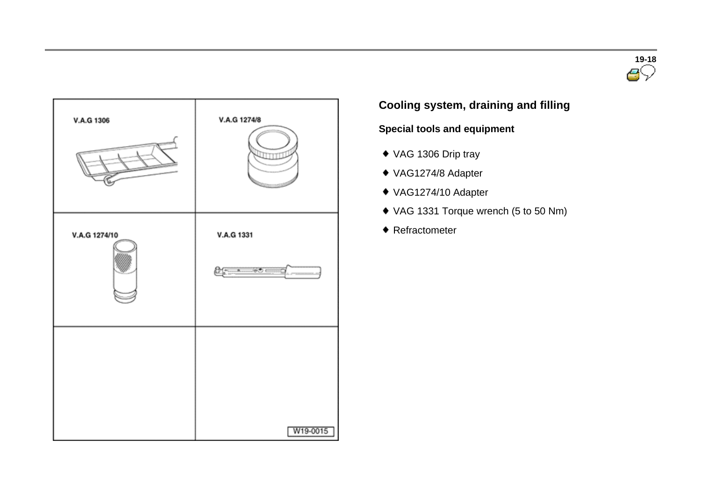



# **Cooling system, draining and filling**

## **Special tools and equipment**

- VAG 1306 Drip tray
- VAG1274/8 Adapter
- VAG1274/10 Adapter
- VAG 1331 Torque wrench (5 to 50 Nm)
- ◆ Refractometer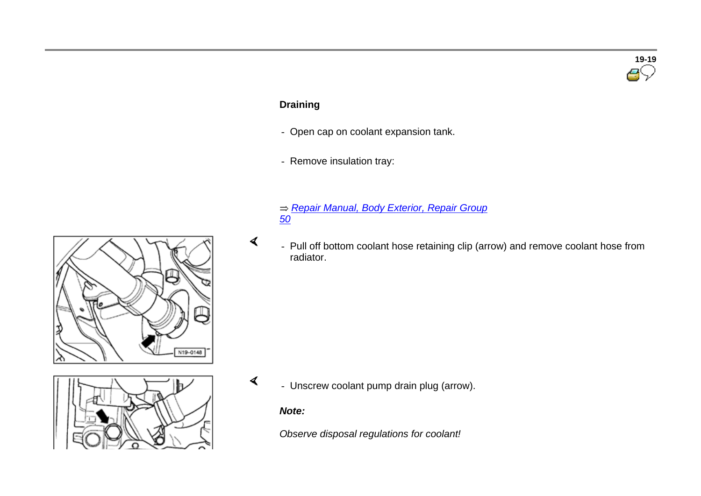# **19-19**

# **Draining**

- Open cap on coolant expansion tank.
- Remove insulation tray:
- *Repair Manual, Body Exterior, Repair Group 50*
- Pull off bottom coolant hose retaining clip (arrow) and remove coolant hose from radiator.



 $\blacktriangleleft$ - Unscrew coolant pump drain plug (arrow).

## *Note:*

 $\blacktriangleleft$ 

*Observe disposal regulations for coolant!*

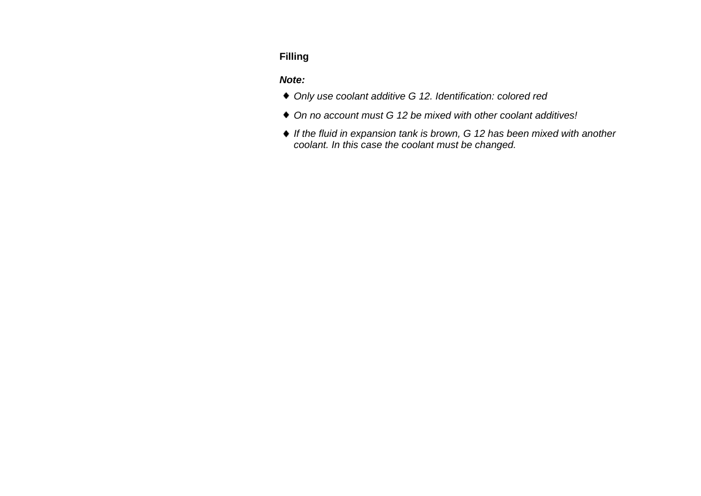## **Filling**

### *Note:*

- *Only use coolant additive G 12. Identification: colored red*
- *On no account must G 12 be mixed with other coolant additives!*
- *If the fluid in expansion tank is brown, G 12 has been mixed with another coolant. In this case the coolant must be changed.*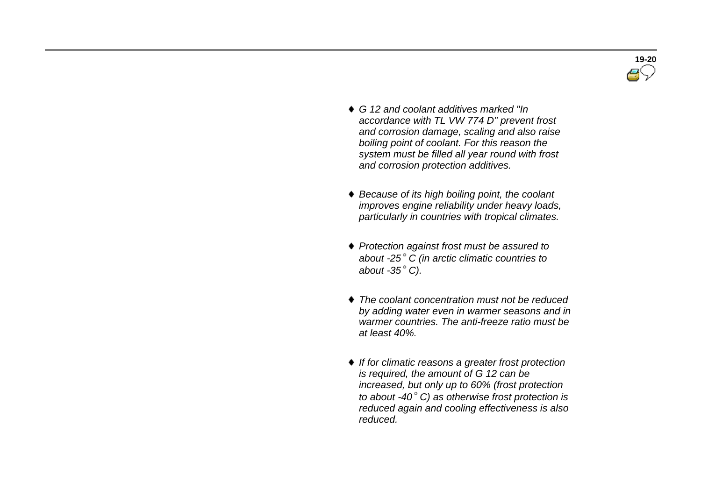

- *<sup>G</sup> <sup>12</sup> and coolant additives marked "In accordance with TL VW 774 D" prevent frost and corrosion damage, scaling and also raise boiling point of coolant. For this reason the system must be filled all year round with frost and corrosion protection additives.*
- *Because of its high boiling point, the coolant improves engine reliability under heavy loads, particularly in countries with tropical climates.*
- *Protection against frost must be assured to about -25 C (in arctic climatic countries to about -35 C).*
- *The coolant concentration must not be reduced by adding water even in warmer seasons and in warmer countries. The anti-freeze ratio must be at least 40%.*
- *If for climatic reasons <sup>a</sup> greater frost protection is required, the amount of G 12 can be increased, but only up to 60% (frost protection to about -40 C) as otherwise frost protection is reduced again and cooling effectiveness is also reduced.*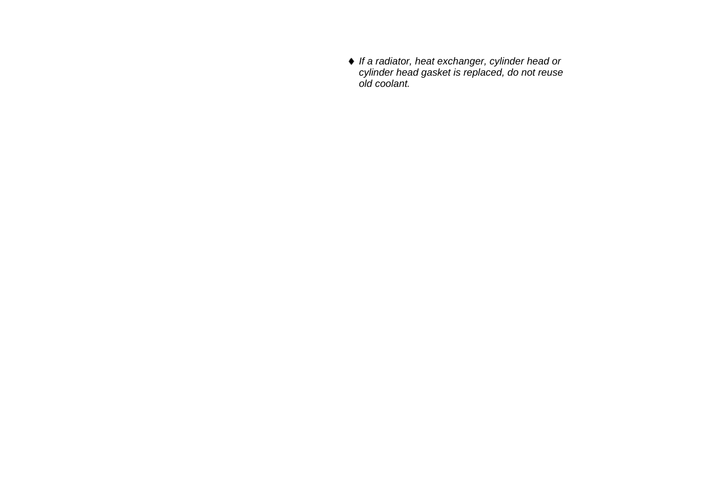*If a radiator, heat exchanger, cylinder head or cylinder head gasket is replaced, do not reuse old coolant.*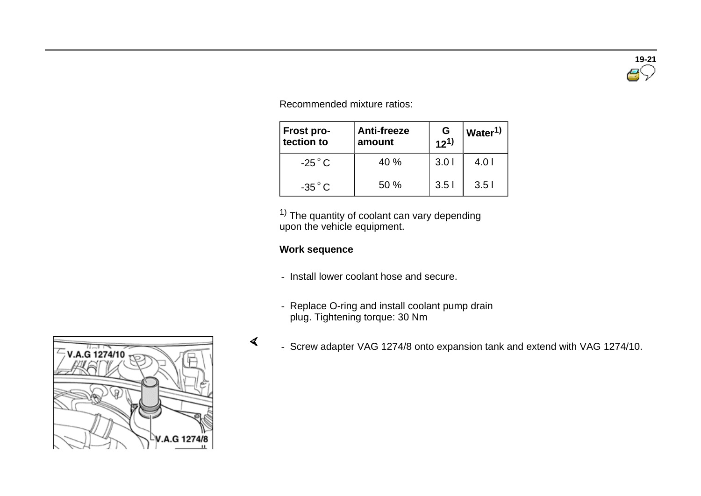

## Recommended mixture ratios:

| Frost pro-<br>tection to | <b>Anti-freeze</b><br>amount | G<br>$12^{1}$ | Water <sup>1)</sup> |  |
|--------------------------|------------------------------|---------------|---------------------|--|
| $-25^\circ$ C            | 40 %                         | 3.01          | 4.01                |  |
| $-35^\circ$ C            | 50 %                         | 3.51          | 3.51                |  |

 $(1)$  The quantity of coolant can vary depending upon the vehicle equipment.

## **Work sequence**

 $\blacktriangleleft$ 

- Install lower coolant hose and secure.
- Replace O-ring and install coolant pump drain plug. Tightening torque: 30 Nm
- Screw adapter VAG 1274/8 onto expansion tank and extend with VAG 1274/10.

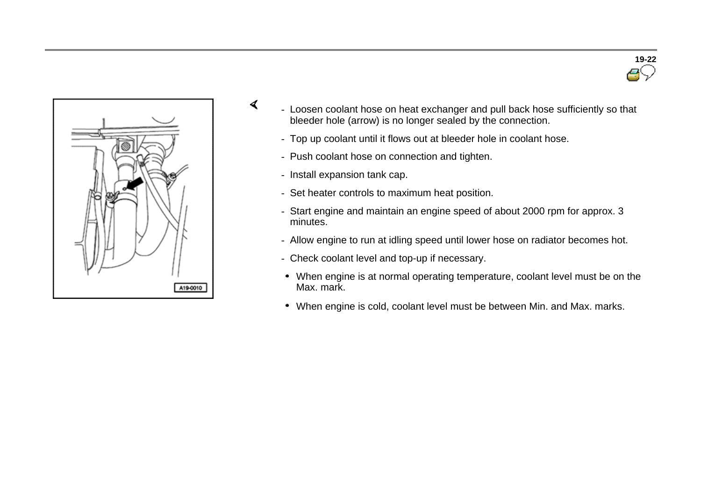



- Loosen coolant hose on heat exchanger and pull back hose sufficiently so that bleeder hole (arrow) is no longer sealed by the connection.
	- Top up coolant until it flows out at bleeder hole in coolant hose.
	- Push coolant hose on connection and tighten.
	- Install expansion tank cap.

 $\blacktriangleleft$ 

- Set heater controls to maximum heat position.
- Start engine and maintain an engine speed of about 2000 rpm for approx. 3 minutes.
- Allow engine to run at idling speed until lower hose on radiator becomes hot.
- Check coolant level and top-up if necessary.
- When engine is at normal operating temperature, coolant level must be on the Max. mark.
- When engine is cold, coolant level must be between Min. and Max. marks.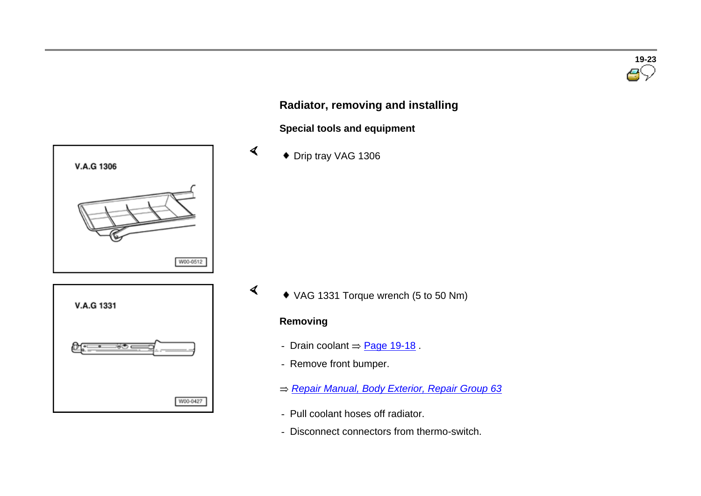# **Radiator, removing and installing**

**Special tools and equipment** 

◆ Drip tray VAG 1306

 $\blacktriangleleft$ 

 $\blacktriangleleft$ 



VAG 1331 Torque wrench (5 to 50 Nm)

## **Removing**

- Drain coolant  $=$  Page 19-18.
- Remove front bumper.
- *Repair Manual, Body Exterior, Repair Group 63*
- Pull coolant hoses off radiator.
- Disconnect connectors from thermo-switch.



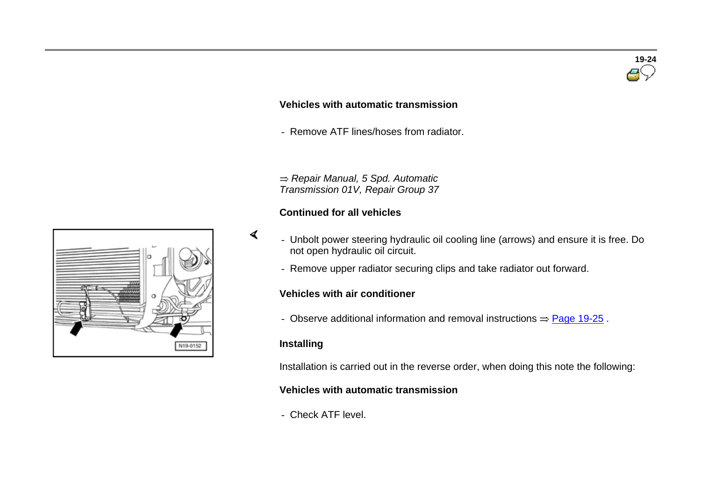# **19-24**

## **Vehicles with automatic transmission**

- Remove ATF lines/hoses from radiator.

 *Repair Manual, 5 Spd. Automatic Transmission 01V, Repair Group 37*

## **Continued for all vehicles**

- Unbolt power steering hydraulic oil cooling line (arrows) and ensure it is free. Do not open hydraulic oil circuit.
	- Remove upper radiator securing clips and take radiator out forward.

## **Vehicles with air conditioner**

- Observe additional information and removal instructions  $\Rightarrow$  Page 19-25.

### **Installing**

 $\mathbf{I}$ 

Installation is carried out in the reverse order, when doing this note the following:

## **Vehicles with automatic transmission**

- Check ATF level.

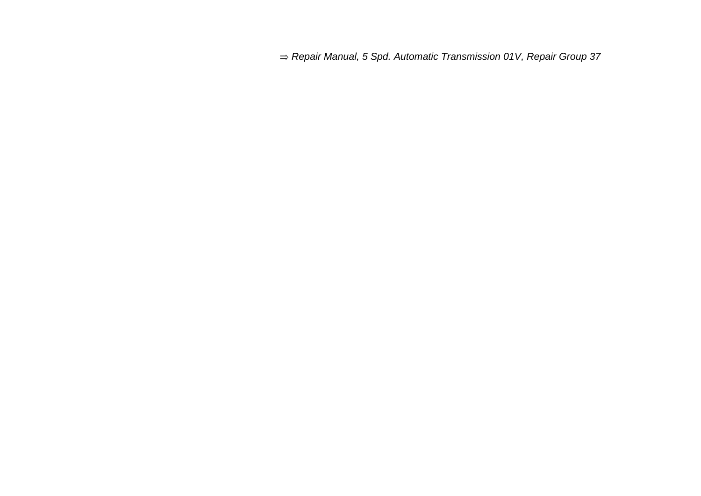*Repair Manual, 5 Spd. Automatic Transmission 01V, Repair Group 37*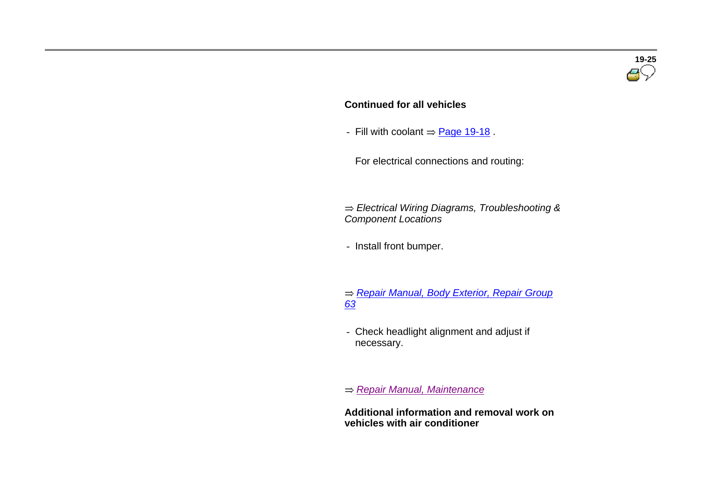

## **Continued for all vehicles**

- Fill with coolant  $=$  Page 19-18.

For electrical connections and routing:

 *Electrical Wiring Diagrams, Troubleshooting & Component Locations*

- Install front bumper.

 *Repair Manual, Body Exterior, Repair Group 63*

- Check headlight alignment and adjust if necessary.

*Repair Manual, Maintenance*

 **Additional information and removal work on vehicles with air conditioner**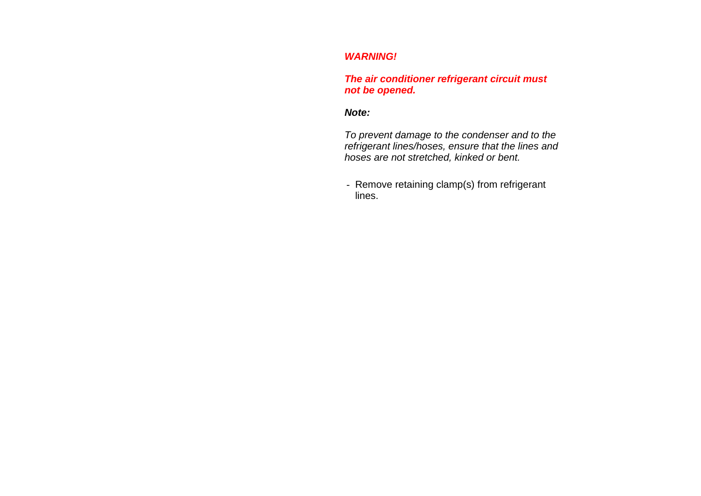### *WARNING!*

 *The air conditioner refrigerant circuit must not be opened.*

*Note:*

 *To prevent damage to the condenser and to the refrigerant lines/hoses, ensure that the lines and hoses are not stretched, kinked or bent.*

- Remove retaining clamp(s) from refrigerant lines.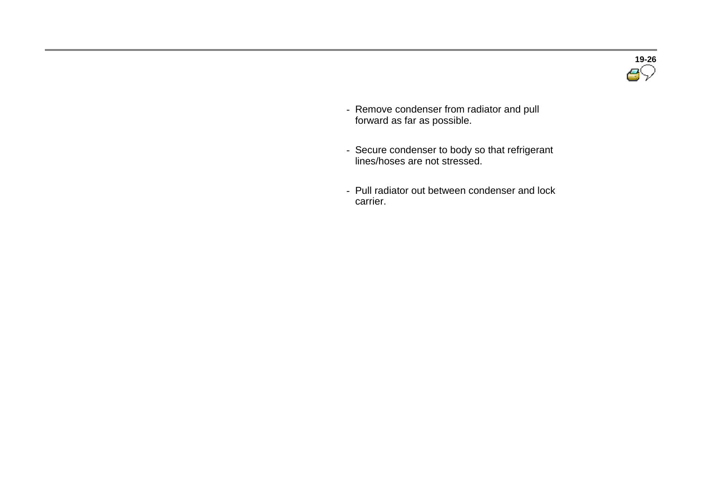

- Remove condenser from radiator and pull forward as far as possible.
- Secure condenser to body so that refrigerant lines/hoses are not stressed.
- Pull radiator out between condenser and lock carrier.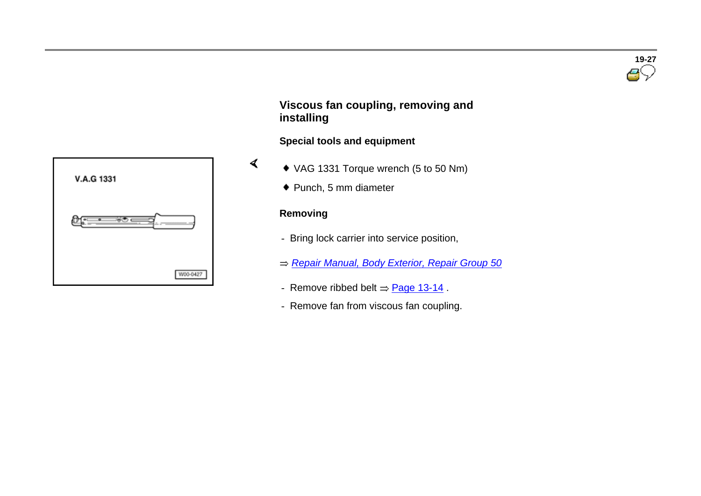

# **Viscous fan coupling, removing and installing**

# **Special tools and equipment**

- VAG 1331 Torque wrench (5 to 50 Nm)
	- ◆ Punch, 5 mm diameter

# **Removing**

 $\blacktriangleleft$ 

- Bring lock carrier into service position,
- *Repair Manual, Body Exterior, Repair Group 50*
- Remove ribbed belt  $\Rightarrow$  Page 13-14.
- Remove fan from viscous fan coupling.

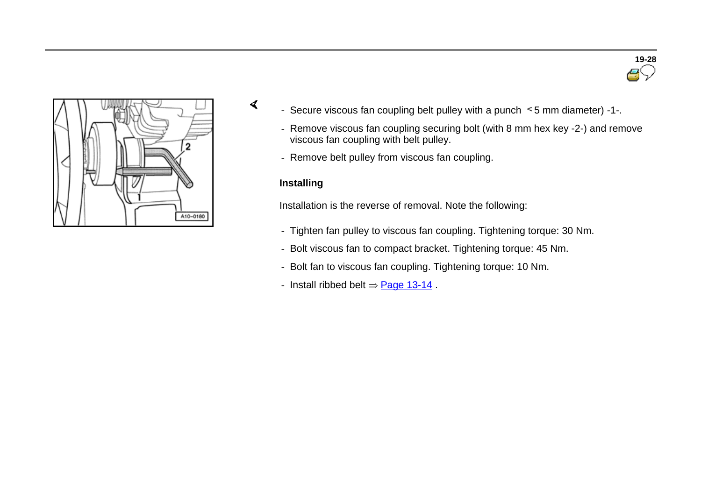



- Secure viscous fan coupling belt pulley with a punch  $\leq$  5 mm diameter) -1-.
	- Remove viscous fan coupling securing bolt (with 8 mm hex key -2-) and remove viscous fan coupling with belt pulley.
	- Remove belt pulley from viscous fan coupling.

## **Installing**

 $\blacktriangleleft$ 

Installation is the reverse of removal. Note the following:

- Tighten fan pulley to viscous fan coupling. Tightening torque: 30 Nm.
- Bolt viscous fan to compact bracket. Tightening torque: 45 Nm.
- Bolt fan to viscous fan coupling. Tightening torque: 10 Nm.
- Install ribbed belt  $\Rightarrow$  Page 13-14.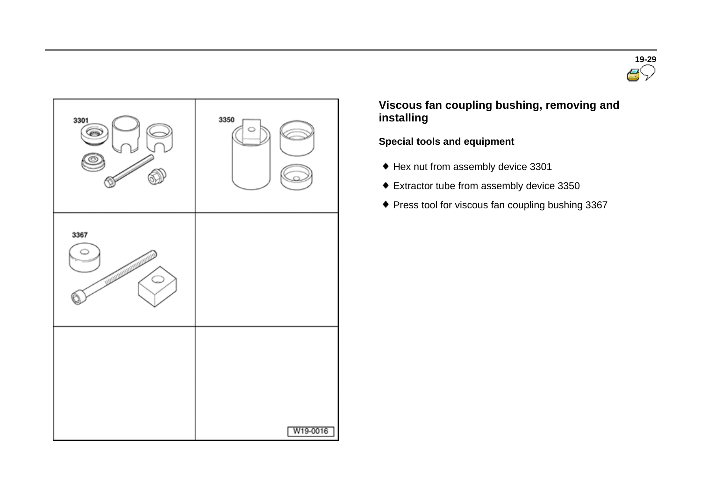



 **Viscous fan coupling bushing, removing and installing**

# **Special tools and equipment**

- ◆ Hex nut from assembly device 3301
- Extractor tube from assembly device 3350
- Press tool for viscous fan coupling bushing 3367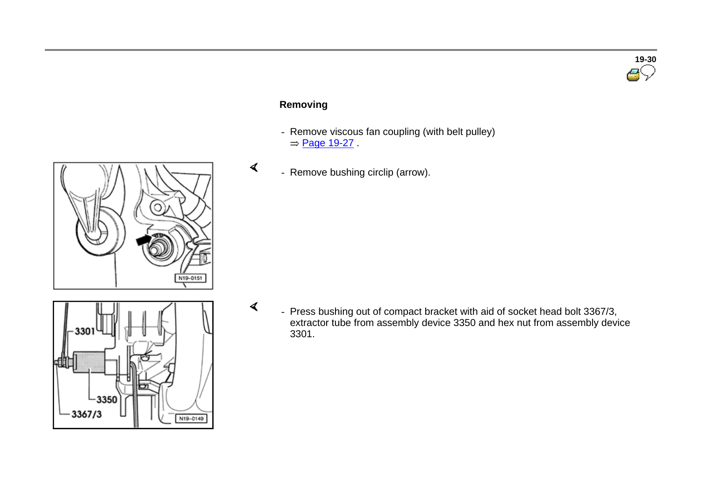# **19-30**

# **Removing**

 $\blacktriangleleft$ 

 $\blacktriangleleft$ 

- Remove viscous fan coupling (with belt pulley)  $=$  Page 19-27
- Remove bushing circlip (arrow).

 - Press bushing out of compact bracket with aid of socket head bolt 3367/3, extractor tube from assembly device 3350 and hex nut from assembly device 3301.



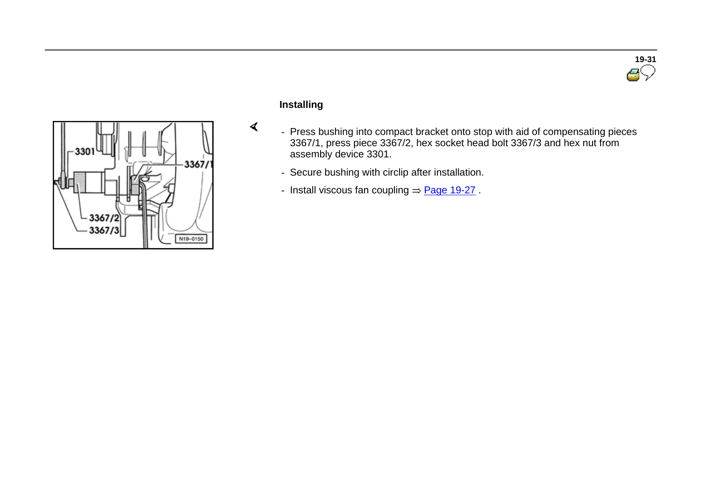



## **Installing**

- Press bushing into compact bracket onto stop with aid of compensating pieces 3367/1, press piece 3367/2, hex socket head bolt 3367/3 and hex nut from assembly device 3301.
	- Secure bushing with circlip after installation.
	- Install viscous fan coupling  $=$  Page 19-27.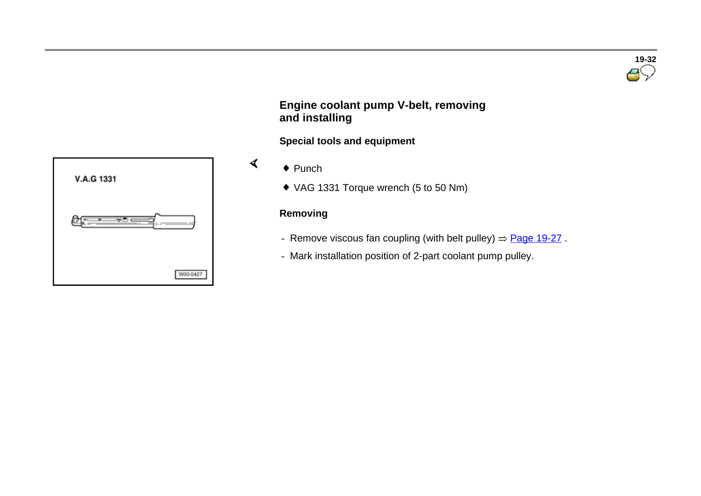

**Special tools and equipment** 

 $\bullet$  Punch

 $\blacktriangleleft$ 

VAG 1331 Torque wrench (5 to 50 Nm)

# **Removing**

- Remove viscous fan coupling (with belt pulley)  $\Rightarrow$  Page 19-27.
- Mark installation position of 2-part coolant pump pulley.